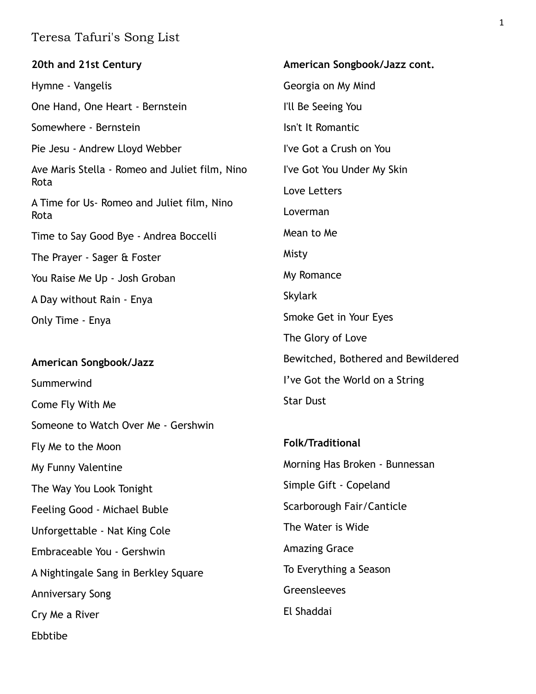| 20th and 21st Century                                  | American Songbook/Jazz cont.       |
|--------------------------------------------------------|------------------------------------|
| Hymne - Vangelis                                       | Georgia on My Mind                 |
| One Hand, One Heart - Bernstein                        | I'll Be Seeing You                 |
| Somewhere - Bernstein                                  | Isn't It Romantic                  |
| Pie Jesu - Andrew Lloyd Webber                         | I've Got a Crush on You            |
| Ave Maris Stella - Romeo and Juliet film, Nino<br>Rota | I've Got You Under My Skin         |
| A Time for Us-Romeo and Juliet film, Nino<br>Rota      | Love Letters                       |
|                                                        | Loverman                           |
| Time to Say Good Bye - Andrea Boccelli                 | Mean to Me                         |
| The Prayer - Sager & Foster                            | Misty                              |
| You Raise Me Up - Josh Groban                          | My Romance                         |
| A Day without Rain - Enya                              | <b>Skylark</b>                     |
| Only Time - Enya                                       | Smoke Get in Your Eyes             |
|                                                        | The Glory of Love                  |
| American Songbook/Jazz                                 | Bewitched, Bothered and Bewildered |
| Summerwind                                             | I've Got the World on a String     |
| Come Fly With Me                                       | <b>Star Dust</b>                   |
| Someone to Watch Over Me - Gershwin                    |                                    |
| Fly Me to the Moon                                     | <b>Folk/Traditional</b>            |
| My Funny Valentine                                     | Morning Has Broken - Bunnessan     |
| The Way You Look Tonight                               | Simple Gift - Copeland             |
| Feeling Good - Michael Buble                           | Scarborough Fair/Canticle          |
| Unforgettable - Nat King Cole                          | The Water is Wide                  |

Embraceable You - Gershwin

A Nightingale Sang in Berkley Square

Anniversary Song

Cry Me a River

Ebbtibe

The Water is Wide Amazing Grace To Everything a Season

Greensleeves

El Shaddai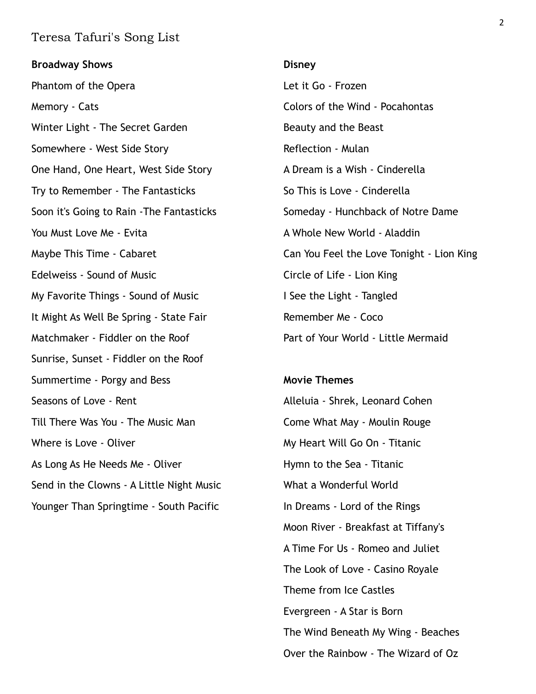**Broadway Shows** Phantom of the Opera Memory - Cats Winter Light - The Secret Garden Somewhere - West Side Story One Hand, One Heart, West Side Story Try to Remember - The Fantasticks Soon it's Going to Rain -The Fantasticks You Must Love Me - Evita Maybe This Time - Cabaret Edelweiss - Sound of Music My Favorite Things - Sound of Music It Might As Well Be Spring - State Fair Matchmaker - Fiddler on the Roof Sunrise, Sunset - Fiddler on the Roof Summertime - Porgy and Bess Seasons of Love - Rent Till There Was You - The Music Man Where is Love - Oliver As Long As He Needs Me - Oliver Send in the Clowns - A Little Night Music Younger Than Springtime - South Pacific **Disney**  Let it Go - Frozen Colors of the Wind - Pocahontas Beauty and the Beast Reflection - Mulan A Dream is a Wish - Cinderella So This is Love - Cinderella Someday - Hunchback of Notre Dame A Whole New World - Aladdin Can You Feel the Love Tonight - Lion King Circle of Life - Lion King I See the Light - Tangled Remember Me - Coco Part of Your World - Little Mermaid **Movie Themes**  Alleluia - Shrek, Leonard Cohen Come What May - Moulin Rouge My Heart Will Go On - Titanic Hymn to the Sea - Titanic What a Wonderful World In Dreams - Lord of the Rings

Moon River - Breakfast at Tiffany's

A Time For Us - Romeo and Juliet

The Look of Love - Casino Royale

The Wind Beneath My Wing - Beaches

Over the Rainbow - The Wizard of Oz

Theme from Ice Castles

Evergreen - A Star is Born

2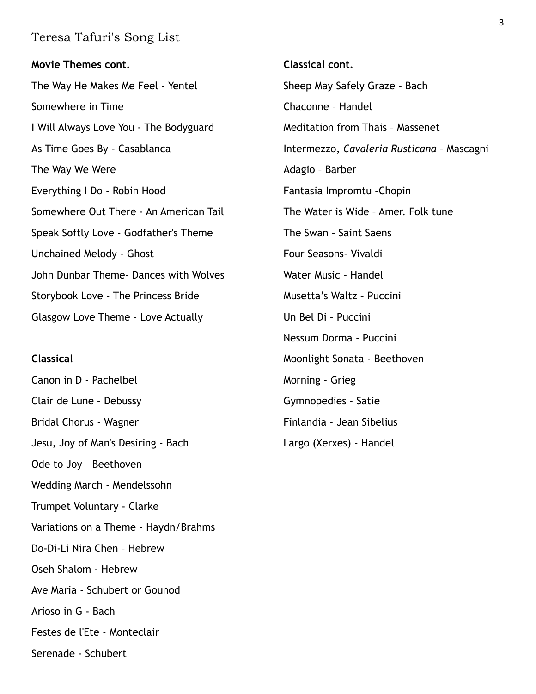**Movie Themes cont.**  The Way He Makes Me Feel - Yentel Somewhere in Time I Will Always Love You - The Bodyguard As Time Goes By - Casablanca The Way We Were Everything I Do - Robin Hood Somewhere Out There - An American Tail Speak Softly Love - Godfather's Theme Unchained Melody - Ghost John Dunbar Theme- Dances with Wolves Storybook Love - The Princess Bride Glasgow Love Theme - Love Actually

#### **Classical**

Canon in D - Pachelbel Clair de Lune – Debussy Bridal Chorus - Wagner Jesu, Joy of Man's Desiring - Bach Ode to Joy – Beethoven Wedding March - Mendelssohn Trumpet Voluntary - Clarke Variations on a Theme - Haydn/Brahms Do-Di-Li Nira Chen – Hebrew Oseh Shalom - Hebrew Ave Maria - Schubert or Gounod Arioso in G - Bach Festes de l'Ete - Monteclair Serenade - Schubert

**Classical cont.**  Sheep May Safely Graze – Bach Chaconne – Handel Meditation from Thais – Massenet Intermezzo, *Cavaleria Rusticana* – Mascagni Adagio – Barber Fantasia Impromtu –Chopin The Water is Wide – Amer. Folk tune The Swan – Saint Saens Four Seasons- Vivaldi Water Music – Handel Musetta's Waltz – Puccini Un Bel Di – Puccini Nessum Dorma - Puccini Moonlight Sonata - Beethoven Morning - Grieg Gymnopedies - Satie Finlandia - Jean Sibelius Largo (Xerxes) - Handel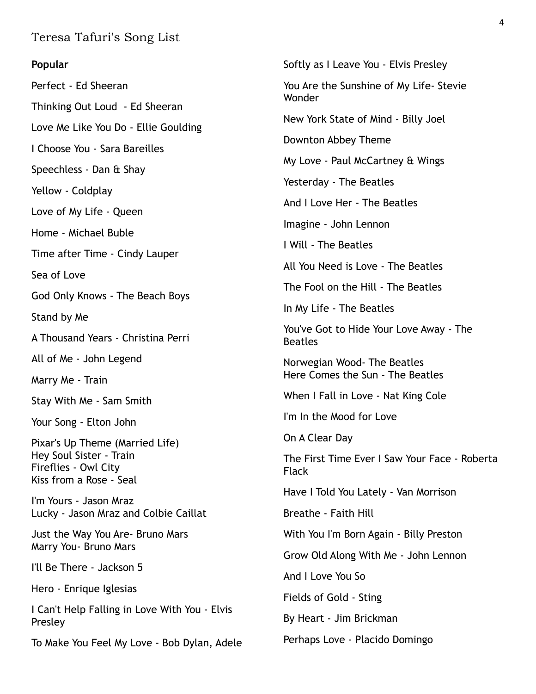#### **Popular**

Perfect - Ed Sheeran Thinking Out Loud - Ed Sheeran Love Me Like You Do - Ellie Goulding I Choose You - Sara Bareilles Speechless - Dan & Shay Yellow - Coldplay Love of My Life - Queen Home - Michael Buble Time after Time - Cindy Lauper Sea of Love God Only Knows - The Beach Boys Stand by Me A Thousand Years - Christina Perri All of Me - John Legend Marry Me - Train Stay With Me - Sam Smith Your Song - Elton John Pixar's Up Theme (Married Life) Hey Soul Sister - Train Fireflies - Owl City Kiss from a Rose - Seal I'm Yours - Jason Mraz Lucky - Jason Mraz and Colbie Caillat Just the Way You Are- Bruno Mars Marry You- Bruno Mars I'll Be There - Jackson 5 Hero - Enrique Iglesias I Can't Help Falling in Love With You - Elvis Presley To Make You Feel My Love - Bob Dylan, Adele

Softly as I Leave You - Elvis Presley You Are the Sunshine of My Life- Stevie Wonder New York State of Mind - Billy Joel Downton Abbey Theme My Love - Paul McCartney & Wings Yesterday - The Beatles And I Love Her - The Beatles Imagine - John Lennon I Will - The Beatles All You Need is Love - The Beatles The Fool on the Hill - The Beatles In My Life - The Beatles You've Got to Hide Your Love Away - The Beatles Norwegian Wood- The Beatles Here Comes the Sun - The Beatles When I Fall in Love - Nat King Cole I'm In the Mood for Love On A Clear Day The First Time Ever I Saw Your Face - Roberta Flack Have I Told You Lately - Van Morrison Breathe - Faith Hill With You I'm Born Again - Billy Preston Grow Old Along With Me - John Lennon And I Love You So Fields of Gold - Sting By Heart - Jim Brickman Perhaps Love - Placido Domingo